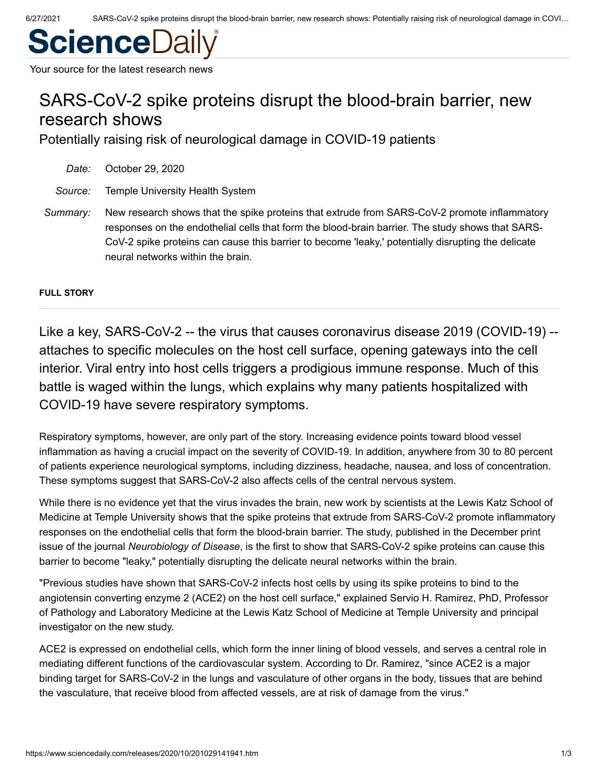# **ScienceDai**

Your source for the latest research news

# SARS-CoV-2 spike proteins disrupt the blood-brain barrier, new research shows

Potentially raising risk of neurological damage in COVID-19 patients

| Date:    | October 29, 2020                                                                                                                                                                                                                                                                                                                            |
|----------|---------------------------------------------------------------------------------------------------------------------------------------------------------------------------------------------------------------------------------------------------------------------------------------------------------------------------------------------|
| Source:  | Temple University Health System                                                                                                                                                                                                                                                                                                             |
| Summary: | New research shows that the spike proteins that extrude from SARS-CoV-2 promote inflammatory<br>responses on the endothelial cells that form the blood-brain barrier. The study shows that SARS-<br>CoV-2 spike proteins can cause this barrier to become 'leaky,' potentially disrupting the delicate<br>neural networks within the brain. |

**FULL STORY**

Like a key, SARS-CoV-2 -- the virus that causes coronavirus disease 2019 (COVID-19) - attaches to specific molecules on the host cell surface, opening gateways into the cell interior. Viral entry into host cells triggers a prodigious immune response. Much of this battle is waged within the lungs, which explains why many patients hospitalized with COVID-19 have severe respiratory symptoms.

Respiratory symptoms, however, are only part of the story. Increasing evidence points toward blood vessel inflammation as having a crucial impact on the severity of COVID-19. In addition, anywhere from 30 to 80 percent of patients experience neurological symptoms, including dizziness, headache, nausea, and loss of concentration. These symptoms suggest that SARS-CoV-2 also affects cells of the central nervous system.

While there is no evidence yet that the virus invades the brain, new work by scientists at the Lewis Katz School of Medicine at Temple University shows that the spike proteins that extrude from SARS-CoV-2 promote inflammatory responses on the endothelial cells that form the blood-brain barrier. The study, published in the December print issue of the journal *Neurobiology of Disease*, is the first to show that SARS-CoV-2 spike proteins can cause this barrier to become "leaky," potentially disrupting the delicate neural networks within the brain.

"Previous studies have shown that SARS-CoV-2 infects host cells by using its spike proteins to bind to the angiotensin converting enzyme 2 (ACE2) on the host cell surface," explained Servio H. Ramirez, PhD, Professor of Pathology and Laboratory Medicine at the Lewis Katz School of Medicine at Temple University and principal investigator on the new study.

ACE2 is expressed on endothelial cells, which form the inner lining of blood vessels, and serves a central role in mediating different functions of the cardiovascular system. According to Dr. Ramirez, "since ACE2 is a major binding target for SARS-CoV-2 in the lungs and vasculature of other organs in the body, tissues that are behind the vasculature, that receive blood from affected vessels, are at risk of damage from the virus."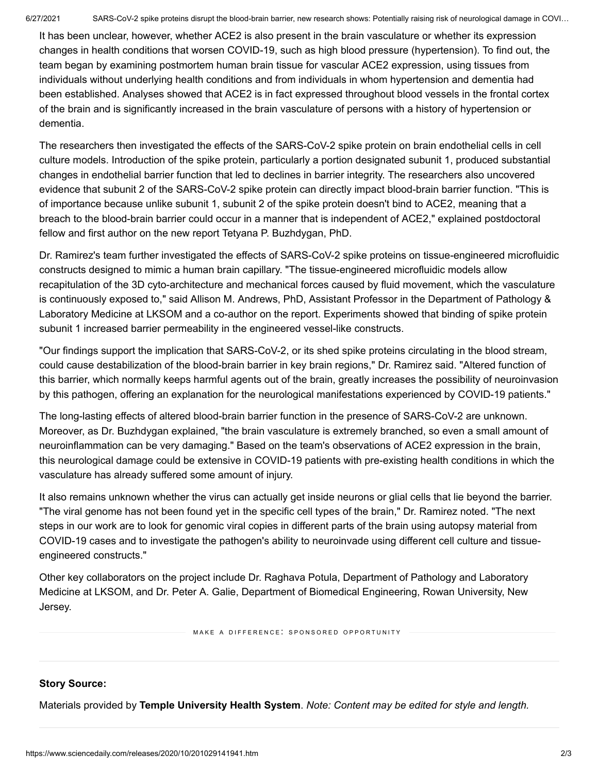It has been unclear, however, whether ACE2 is also present in the brain vasculature or whether its expression changes in health conditions that worsen COVID-19, such as high blood pressure (hypertension). To find out, the team began by examining postmortem human brain tissue for vascular ACE2 expression, using tissues from individuals without underlying health conditions and from individuals in whom hypertension and dementia had been established. Analyses showed that ACE2 is in fact expressed throughout blood vessels in the frontal cortex of the brain and is significantly increased in the brain vasculature of persons with a history of hypertension or dementia.

The researchers then investigated the effects of the SARS-CoV-2 spike protein on brain endothelial cells in cell culture models. Introduction of the spike protein, particularly a portion designated subunit 1, produced substantial changes in endothelial barrier function that led to declines in barrier integrity. The researchers also uncovered evidence that subunit 2 of the SARS-CoV-2 spike protein can directly impact blood-brain barrier function. "This is of importance because unlike subunit 1, subunit 2 of the spike protein doesn't bind to ACE2, meaning that a breach to the blood-brain barrier could occur in a manner that is independent of ACE2," explained postdoctoral fellow and first author on the new report Tetyana P. Buzhdygan, PhD.

Dr. Ramirez's team further investigated the effects of SARS-CoV-2 spike proteins on tissue-engineered microfluidic constructs designed to mimic a human brain capillary. "The tissue-engineered microfluidic models allow recapitulation of the 3D cyto-architecture and mechanical forces caused by fluid movement, which the vasculature is continuously exposed to," said Allison M. Andrews, PhD, Assistant Professor in the Department of Pathology & Laboratory Medicine at LKSOM and a co-author on the report. Experiments showed that binding of spike protein subunit 1 increased barrier permeability in the engineered vessel-like constructs.

"Our findings support the implication that SARS-CoV-2, or its shed spike proteins circulating in the blood stream, could cause destabilization of the blood-brain barrier in key brain regions," Dr. Ramirez said. "Altered function of this barrier, which normally keeps harmful agents out of the brain, greatly increases the possibility of neuroinvasion by this pathogen, offering an explanation for the neurological manifestations experienced by COVID-19 patients."

The long-lasting effects of altered blood-brain barrier function in the presence of SARS-CoV-2 are unknown. Moreover, as Dr. Buzhdygan explained, "the brain vasculature is extremely branched, so even a small amount of neuroinflammation can be very damaging." Based on the team's observations of ACE2 expression in the brain, this neurological damage could be extensive in COVID-19 patients with pre-existing health conditions in which the vasculature has already suffered some amount of injury.

It also remains unknown whether the virus can actually get inside neurons or glial cells that lie beyond the barrier. "The viral genome has not been found yet in the specific cell types of the brain," Dr. Ramirez noted. "The next steps in our work are to look for genomic viral copies in different parts of the brain using autopsy material from COVID-19 cases and to investigate the pathogen's ability to neuroinvade using different cell culture and tissueengineered constructs."

Other key collaborators on the project include Dr. Raghava Potula, Department of Pathology and Laboratory Medicine at LKSOM, and Dr. Peter A. Galie, Department of Biomedical Engineering, Rowan University, New Jersey.

MAKE A DIFFERENCE: SPONSORED OPPORTUNITY

## **Story Source:**

[Materials](https://www.templehealth.org/about/news/sars-cov-2-spike-proteins-disrupt-the-blood-brain-barrier-potentially-raising-risk-of-neurological-damage-in-covid-19-patients) provided by **[Temple University Health System](https://www.templehealth.org/)**. *Note: Content may be edited for style and length.*